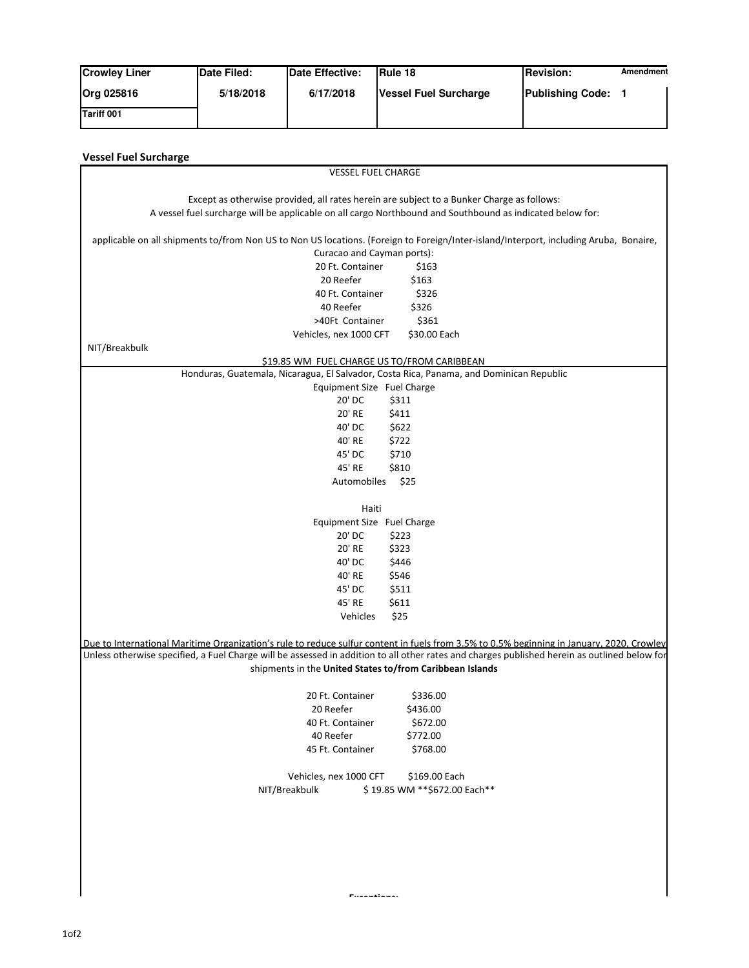| <b>Crowley Liner</b> | Date Filed: | Date Effective: | <b>IRule 18</b>       | <b>Revision:</b>        | Amendment |
|----------------------|-------------|-----------------|-----------------------|-------------------------|-----------|
| Org 025816           | 5/18/2018   | 6/17/2018       | Vessel Fuel Surcharge | <b>Publishing Code:</b> |           |
| Tariff 001           |             |                 |                       |                         |           |

| <b>VESSEL FUEL CHARGE</b>                                                                                                                    |                               |
|----------------------------------------------------------------------------------------------------------------------------------------------|-------------------------------|
|                                                                                                                                              |                               |
| Except as otherwise provided, all rates herein are subject to a Bunker Charge as follows:                                                    |                               |
| A vessel fuel surcharge will be applicable on all cargo Northbound and Southbound as indicated below for:                                    |                               |
| applicable on all shipments to/from Non US to Non US locations. (Foreign to Foreign/Inter-island/Interport, including Aruba, Bonaire,        |                               |
| Curacao and Cayman ports):                                                                                                                   |                               |
| 20 Ft. Container                                                                                                                             | \$163                         |
| 20 Reefer                                                                                                                                    | \$163                         |
| 40 Ft. Container                                                                                                                             | \$326                         |
| 40 Reefer                                                                                                                                    | \$326                         |
| >40Ft Container                                                                                                                              | \$361                         |
| Vehicles, nex 1000 CFT                                                                                                                       | \$30.00 Each                  |
| NIT/Breakbulk                                                                                                                                |                               |
| \$19.85 WM FUEL CHARGE US TO/FROM CARIBBEAN                                                                                                  |                               |
| Honduras, Guatemala, Nicaragua, El Salvador, Costa Rica, Panama, and Dominican Republic                                                      |                               |
| Equipment Size Fuel Charge                                                                                                                   |                               |
| 20' DC                                                                                                                                       | \$311                         |
| 20' RE                                                                                                                                       | \$411                         |
| 40' DC                                                                                                                                       | \$622                         |
| 40' RE                                                                                                                                       | \$722                         |
| 45' DC                                                                                                                                       | \$710                         |
| 45' RE                                                                                                                                       | \$810                         |
| Automobiles                                                                                                                                  | \$25                          |
| Haiti                                                                                                                                        |                               |
| Equipment Size Fuel Charge                                                                                                                   |                               |
| 20' DC                                                                                                                                       | \$223                         |
| 20' RE                                                                                                                                       | \$323                         |
| 40' DC                                                                                                                                       | \$446                         |
| 40' RE                                                                                                                                       | \$546                         |
| 45' DC                                                                                                                                       | \$511                         |
| 45' RE                                                                                                                                       | \$611                         |
| Vehicles                                                                                                                                     | \$25                          |
|                                                                                                                                              |                               |
| Due to International Maritime Organization's rule to reduce sulfur content in fuels from 3.5% to 0.5% beginning in January, 2020, Crowley    |                               |
| Unless otherwise specified, a Fuel Charge will be assessed in addition to all other rates and charges published herein as outlined below for |                               |
| shipments in the United States to/from Caribbean Islands                                                                                     |                               |
| 20 Ft. Container                                                                                                                             | \$336.00                      |
| 20 Reefer                                                                                                                                    | \$436.00                      |
| 40 Ft. Container                                                                                                                             | \$672.00                      |
| 40 Reefer                                                                                                                                    | \$772.00                      |
| 45 Ft. Container                                                                                                                             | \$768.00                      |
|                                                                                                                                              |                               |
| Vehicles, nex 1000 CFT                                                                                                                       | \$169.00 Each                 |
| NIT/Breakbulk                                                                                                                                | \$19.85 WM ** \$672.00 Each** |
|                                                                                                                                              |                               |
|                                                                                                                                              |                               |
|                                                                                                                                              |                               |
|                                                                                                                                              |                               |
|                                                                                                                                              |                               |
|                                                                                                                                              |                               |
|                                                                                                                                              |                               |
|                                                                                                                                              |                               |